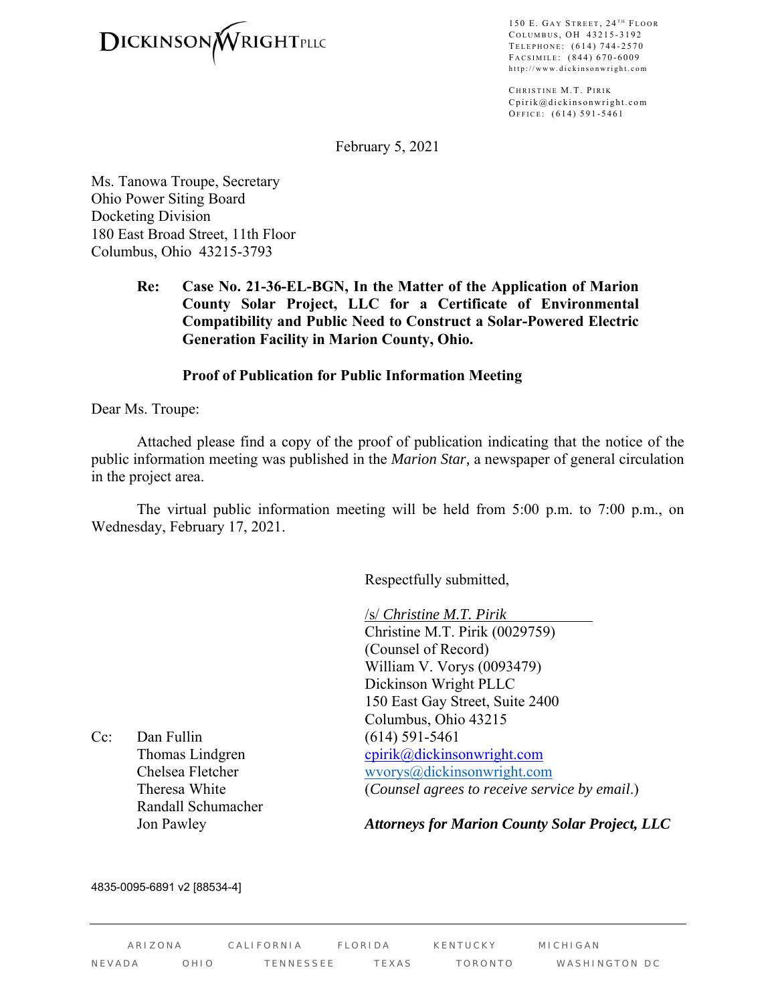

150 E. GAY STREET, 24<sup>TH</sup> FLOOR COLUMBUS, OH 43215-3192 TELEPHONE: (614) 744-2570 FACSIMILE: (844) 670-6009 http://www.dickinsonwright.com

CHRISTINE M.T. PIRIK Cpirik@dickinsonwright.com OFFICE: (614) 591-5461

February 5, 2021

Ms. Tanowa Troupe, Secretary Ohio Power Siting Board Docketing Division 180 East Broad Street, 11th Floor Columbus, Ohio 43215-3793

> **Re: Case No. 21-36-EL-BGN, In the Matter of the Application of Marion County Solar Project, LLC for a Certificate of Environmental Compatibility and Public Need to Construct a Solar-Powered Electric Generation Facility in Marion County, Ohio.**

### **Proof of Publication for Public Information Meeting**

Dear Ms. Troupe:

 Attached please find a copy of the proof of publication indicating that the notice of the public information meeting was published in the *Marion Star,* a newspaper of general circulation in the project area.

 The virtual public information meeting will be held from 5:00 p.m. to 7:00 p.m., on Wednesday, February 17, 2021.

Respectfully submitted,

/s/ *Christine M.T. Pirik*  Christine M.T. Pirik (0029759) (Counsel of Record) William V. Vorys (0093479) Dickinson Wright PLLC 150 East Gay Street, Suite 2400 Columbus, Ohio 43215 Thomas Lindgren cpirik@dickinsonwright.com Chelsea Fletcher wvorys@dickinsonwright.com Theresa White (*Counsel agrees to receive service by email*.)

Cc: Dan Fullin (614) 591-5461 Randall Schumacher

Jon Pawley *Attorneys for Marion County Solar Project, LLC*

### 4835-0095-6891 v2 [88534-4]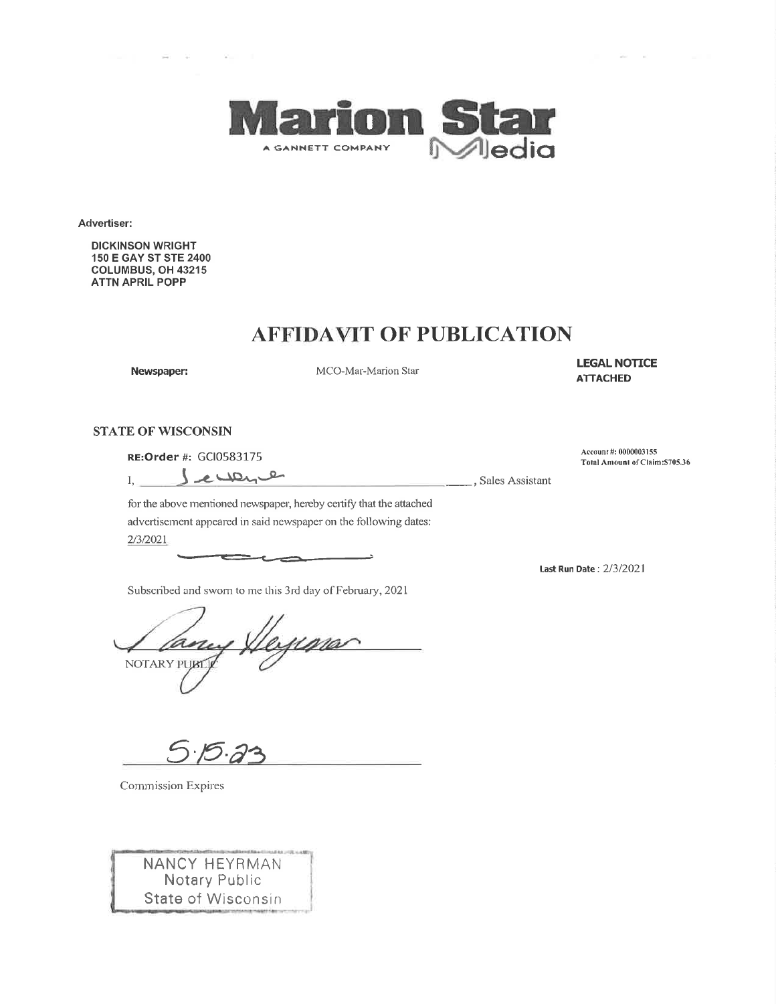

Advertiser:

**DICKINSON WRIGHT** 150 E GAY ST STE 2400 COLUMBUS, OH 43215 **ATTN APRIL POPP** 

## **AFFIDAVIT OF PUBLICATION**

Newspaper:

MCO-Mar-Marion Star

L,

**LEGAL NOTICE ATTACHED** 

#### **STATE OF WISCONSIN**

RE: Order #: GCI0583175

 $\mathcal{L}_{\mathrm{in}}$ 

 $\frac{1}{\sqrt{2}}$ , Sales Assistant

Account #: 0000003155 Total Amount of Claim: \$705.36

Lecone  $I, \_$ 

for the above mentioned newspaper, hereby certify that the attached advertisement appeared in said newspaper on the following dates: 2/3/2021

Subscribed and sworn to me this 3rd day of February, 2021

ima NOTARY PUBL

Commission Expires

NANCY HEYRMAN **Notary Public** State of Wisconsin Last Run Date: 2/3/2021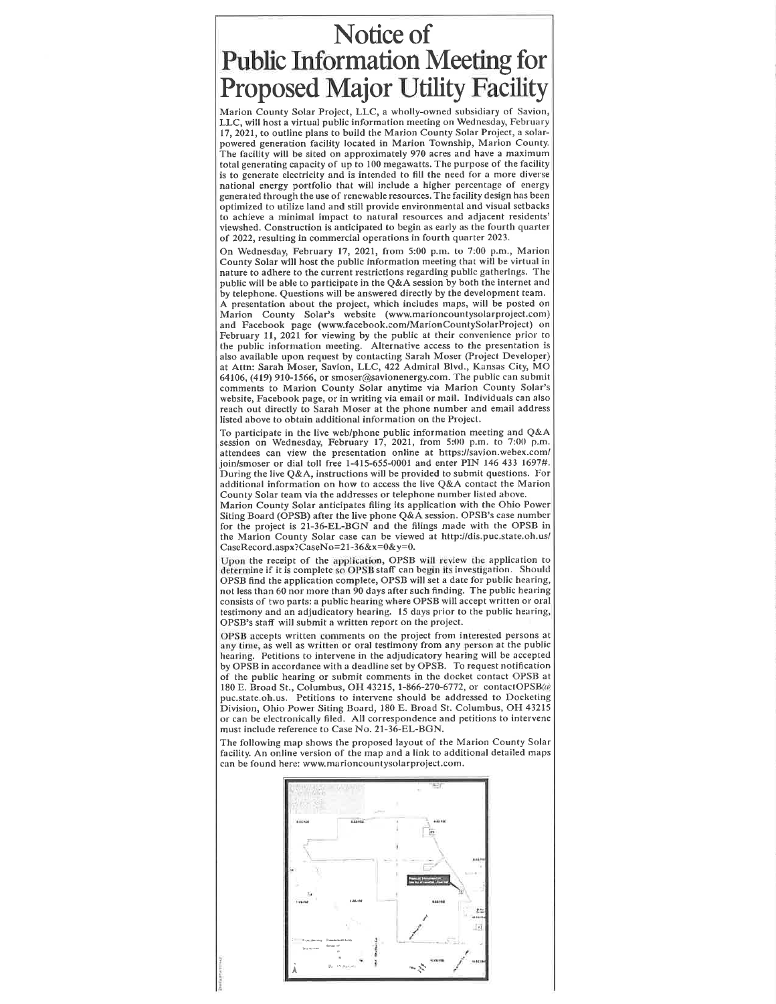# Notice of **Public Information Meeting for Proposed Major Utility Facility**

Marion County Solar Project, LLC, a wholly-owned subsidiary of Savion, LLC, will host a virtual public information meeting on Wednesday, February 17, 2021, to outline plans to build the Marion County Solar Project, a solarpowered generation facility located in Marion Township, Marion County. The facility will be sited on approximately 970 acres and have a maximum total generating capacity of up to 100 megawatts. The purpose of the facility is to generate electricity and is intended to fill the need for a more diverse national energy portfolio that will include a higher percentage of energy generated through the use of renewable resources. The facility design has been optimized to utilize land and still provide environmental and visual setbacks to achieve a minimal impact to natural resources and adjacent residents' viewshed. Construction is anticipated to begin as early as the fourth quarter of 2022, resulting in commercial operations in fourth quarter 2023.

On Wednesday, February 17, 2021, from 5:00 p.m. to 7:00 p.m., Marion County Solar will host the public information meeting that will be virtual in nature to adhere to the current restrictions regarding public gatherings. The public will be able to participate in the Q&A session by both the internet and by telephone. Questions will be answered directly by the development team. A presentation about the project, which includes maps, will be posted on Marion County Solar's website (www.marioncountysolarproject.com) and Facebook page (www.facebook.com/MarionCountySolarProject) on February 11, 2021 for viewing by the public at their convenience prior to the public information meeting. Alternative access to the presentation is also available upon request by contacting Sarah Moser (Project Developer) at Attn: Sarah Moser, Savion, LLC, 422 Admiral Blvd., Kansas City, MO 64106, (419) 910-1566, or smoser@savionenergy.com. The public can submit comments to Marion County Solar anytime via Marion County Solar's website, Facebook page, or in writing via email or mail. Individuals can also reach out directly to Sarah Moser at the phone number and email address listed above to obtain additional information on the Project.

To participate in the live web/phone public information meeting and Q&A session on Wednesday, February 17, 2021, from 5:00 p.m. to 7:00 p.m.<br>attendees can view the presentation online at https://savion.webex.com/ join/smoser or dial toll free 1-415-655-0001 and enter PIN 146 433 1697#. During the live Q&A, instructions will be provided to submit questions. For additional information on how to access the live Q&A contact the Marion County Solar team via the addresses or telephone number listed above.

Marion County Solar anticipates filing its application with the Ohio Power Siting Board (OPSB) after the live phone Q&A session. OPSB's case number for the project is 21-36-EL-BGN and the filings made with the OPSB in the Marion County Solar case can be viewed at http://dis.puc.state.oh.us/ CaseRecord.aspx?CaseNo=21-36&x=0&y=0.

Upon the receipt of the application, OPSB will review the application to determine if it is complete so OPSB staff can begin its investigation. Should OPSB find the application complete, OPSB will set a date for public hearing, not less than 60 nor more than 90 days after such finding. The public hearing consists of two parts: a public hearing where OPSB will accept written or oral testimony and an adjudicatory hearing. 15 days prior to the public hearing, OPSB's staff will submit a written report on the project.

OPSB accepts written comments on the project from interested persons at any time, as well as written or oral testimony from any person at the public hearing. Petitions to intervene in the adjudicatory hearing will be accepted by OPSB in accordance with a deadline set by OPSB. To request notification of the public hearing or submit comments in the docket contact OPSB at 180 E. Broad St., Columbus, OH 43215, 1-866-270-6772, or contactOPSB(a) puc.state.oh.us. Petitions to intervene should be addressed to Docketing Division, Ohio Power Siting Board, 180 E. Broad St. Columbus, OH 43215 or can be electronically filed. All correspondence and petitions to intervene must include reference to Case No. 21-36-EL-BGN.

The following map shows the proposed layout of the Marion County Solar facility. An online version of the map and a link to additional detailed maps can be found here: www.marioncountysolarproject.com.